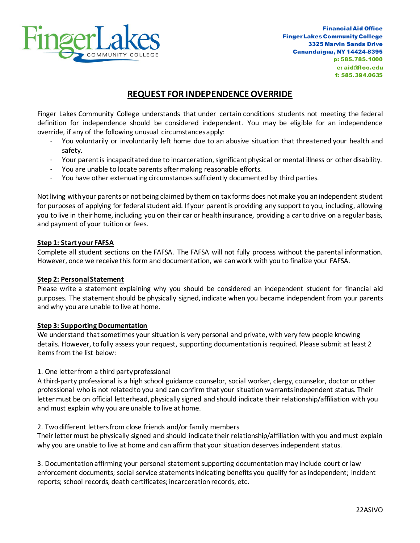

# **REQUEST FOR INDEPENDENCE OVERRIDE**

Finger Lakes Community College understands that under certain conditions students not meeting the federal definition for independence should be considered independent. You may be eligible for an independence override, if any of the following unusual circumstances apply:

- You voluntarily or involuntarily left home due to an abusive situation that threatened your health and safety.
- Your parent is incapacitated due to incarceration, significant physical or mental illness or other disability.
- You are unable to locate parents after making reasonable efforts.
- You have other extenuating circumstances sufficiently documented by third parties.

Not living with your parents or not being claimed by them on tax forms does not make you an independent student for purposes of applying for federal student aid. If your parent is providing any support to you, including, allowing you to live in their home, including you on their car or health insurance, providing a car to drive on a regular basis, and payment of your tuition or fees.

## **Step 1: Start your FAFSA**

Complete all student sections on the FAFSA. The FAFSA will not fully process without the parental information. However, once we receive this form and documentation, we can work with you to finalize your FAFSA.

#### **Step 2: Personal Statement**

Please write a statement explaining why you should be considered an independent student for financial aid purposes. The statement should be physically signed, indicate when you became independent from your parents and why you are unable to live at home.

## **Step 3: Supporting Documentation**

We understand that sometimes your situation is very personal and private, with very few people knowing details. However, to fully assess your request, supporting documentation is required. Please submit at least 2 items from the list below:

## 1. One letter from a third party professional

A third-party professional is a high school guidance counselor, social worker, clergy, counselor, doctor or other professional who is not related to you and can confirm that your situation warrants independent status. Their letter must be on official letterhead, physically signed and should indicate their relationship/affiliation with you and must explain why you are unable to live at home.

## 2. Two different lettersfrom close friends and/or family members

Their letter must be physically signed and should indicate their relationship/affiliation with you and must explain why you are unable to live at home and can affirm that your situation deserves independent status.

3. Documentation affirming your personal statement supporting documentation may include court or law enforcement documents; social service statements indicating benefits you qualify for as independent; incident reports; school records, death certificates; incarceration records, etc.